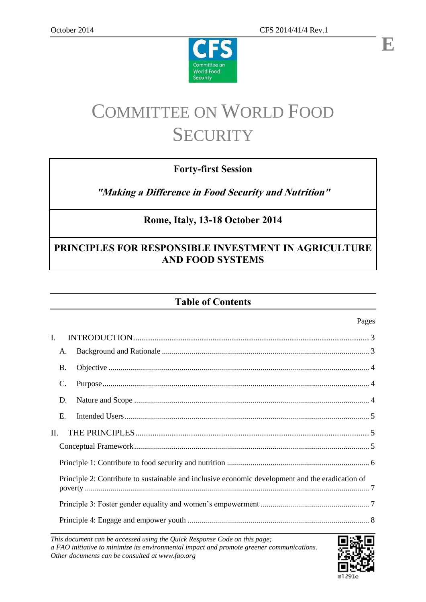

# COMMITTEE ON WORLD FOOD **SECURITY**

Committee on World Food Security

# **Forty-first Session**

**"Making a Difference in Food Security and Nutrition"**

# **Rome, Italy, 13-18 October 2014**

# **PRINCIPLES FOR RESPONSIBLE INVESTMENT IN AGRICULTURE AND FOOD SYSTEMS**

# **Table of Contents**

|                                                                                                  | agus |
|--------------------------------------------------------------------------------------------------|------|
| $\mathbf{I}$ .                                                                                   |      |
| A.                                                                                               |      |
| <b>B.</b>                                                                                        |      |
| C.                                                                                               |      |
| D.                                                                                               |      |
| E.                                                                                               |      |
| II.                                                                                              |      |
|                                                                                                  |      |
|                                                                                                  |      |
| Principle 2: Contribute to sustainable and inclusive economic development and the eradication of |      |
|                                                                                                  |      |
|                                                                                                  |      |

*This document can be accessed using the Quick Response Code on this page; a FAO initiative to minimize its environmental impact and promote greener communications. Other documents can be consulted at www.fao.org*



 $D_{0}q_{0}$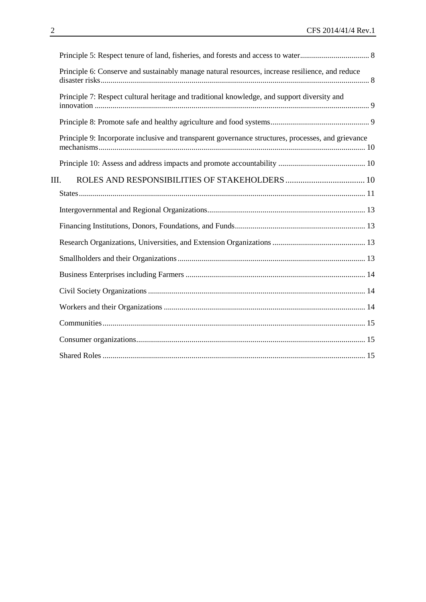| Principle 6: Conserve and sustainably manage natural resources, increase resilience, and reduce    |  |
|----------------------------------------------------------------------------------------------------|--|
| Principle 7: Respect cultural heritage and traditional knowledge, and support diversity and        |  |
|                                                                                                    |  |
| Principle 9: Incorporate inclusive and transparent governance structures, processes, and grievance |  |
|                                                                                                    |  |
| III.                                                                                               |  |
|                                                                                                    |  |
|                                                                                                    |  |
|                                                                                                    |  |
|                                                                                                    |  |
|                                                                                                    |  |
|                                                                                                    |  |
|                                                                                                    |  |
|                                                                                                    |  |
|                                                                                                    |  |
|                                                                                                    |  |
|                                                                                                    |  |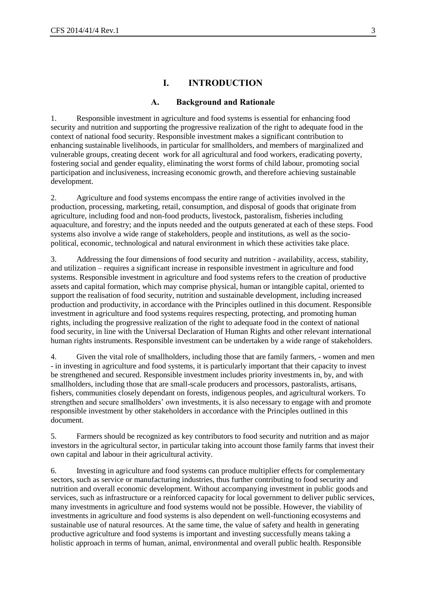# **I. INTRODUCTION**

#### **A. Background and Rationale**

<span id="page-2-1"></span><span id="page-2-0"></span>1. Responsible investment in agriculture and food systems is essential for enhancing food security and nutrition and supporting the progressive realization of the right to adequate food in the context of national food security. Responsible investment makes a significant contribution to enhancing sustainable livelihoods, in particular for smallholders, and members of marginalized and vulnerable groups, creating decent work for all agricultural and food workers, eradicating poverty, fostering social and gender equality, eliminating the worst forms of child labour, promoting social participation and inclusiveness, increasing economic growth, and therefore achieving sustainable development.

2. Agriculture and food systems encompass the entire range of activities involved in the production, processing, marketing, retail, consumption, and disposal of goods that originate from agriculture, including food and non-food products, livestock, pastoralism, fisheries including aquaculture, and forestry; and the inputs needed and the outputs generated at each of these steps. Food systems also involve a wide range of stakeholders, people and institutions, as well as the sociopolitical, economic, technological and natural environment in which these activities take place.

3. Addressing the four dimensions of food security and nutrition - availability, access, stability, and utilization – requires a significant increase in responsible investment in agriculture and food systems. Responsible investment in agriculture and food systems refers to the creation of productive assets and capital formation, which may comprise physical, human or intangible capital, oriented to support the realisation of food security, nutrition and sustainable development, including increased production and productivity, in accordance with the Principles outlined in this document. Responsible investment in agriculture and food systems requires respecting, protecting, and promoting human rights, including the progressive realization of the right to adequate food in the context of national food security, in line with the Universal Declaration of Human Rights and other relevant international human rights instruments. Responsible investment can be undertaken by a wide range of stakeholders.

4. Given the vital role of smallholders, including those that are family farmers, - women and men - in investing in agriculture and food systems, it is particularly important that their capacity to invest be strengthened and secured. Responsible investment includes priority investments in, by, and with smallholders, including those that are small-scale producers and processors, pastoralists, artisans, fishers, communities closely dependant on forests, indigenous peoples, and agricultural workers. To strengthen and secure smallholders' own investments, it is also necessary to engage with and promote responsible investment by other stakeholders in accordance with the Principles outlined in this document.

5. Farmers should be recognized as key contributors to food security and nutrition and as major investors in the agricultural sector, in particular taking into account those family farms that invest their own capital and labour in their agricultural activity.

6. Investing in agriculture and food systems can produce multiplier effects for complementary sectors, such as service or manufacturing industries, thus further contributing to food security and nutrition and overall economic development. Without accompanying investment in public goods and services, such as infrastructure or a reinforced capacity for local government to deliver public services, many investments in agriculture and food systems would not be possible. However, the viability of investments in agriculture and food systems is also dependent on well-functioning ecosystems and sustainable use of natural resources. At the same time, the value of safety and health in generating productive agriculture and food systems is important and investing successfully means taking a holistic approach in terms of human, animal, environmental and overall public health. Responsible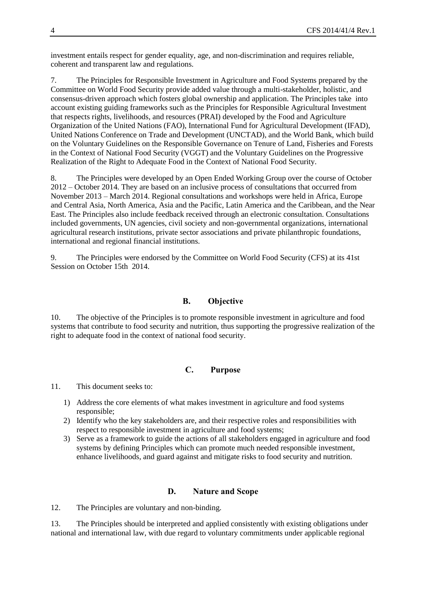investment entails respect for gender equality, age, and non-discrimination and requires reliable, coherent and transparent law and regulations.

7. The Principles for Responsible Investment in Agriculture and Food Systems prepared by the Committee on World Food Security provide added value through a multi-stakeholder, holistic, and consensus-driven approach which fosters global ownership and application. The Principles take into account existing guiding frameworks such as the Principles for Responsible Agricultural Investment that respects rights, livelihoods, and resources (PRAI) developed by the Food and Agriculture Organization of the United Nations (FAO), International Fund for Agricultural Development (IFAD), United Nations Conference on Trade and Development (UNCTAD), and the World Bank, which build on the Voluntary Guidelines on the Responsible Governance on Tenure of Land, Fisheries and Forests in the Context of National Food Security (VGGT) and the Voluntary Guidelines on the Progressive Realization of the Right to Adequate Food in the Context of National Food Security.

8. The Principles were developed by an Open Ended Working Group over the course of October 2012 – October 2014. They are based on an inclusive process of consultations that occurred from November 2013 – March 2014. Regional consultations and workshops were held in Africa, Europe and Central Asia, North America, Asia and the Pacific, Latin America and the Caribbean, and the Near East. The Principles also include feedback received through an electronic consultation. Consultations included governments, UN agencies, civil society and non-governmental organizations, international agricultural research institutions, private sector associations and private philanthropic foundations, international and regional financial institutions.

9. The Principles were endorsed by the Committee on World Food Security (CFS) at its 41st Session on October 15th 2014.

## **B. Objective**

<span id="page-3-0"></span>10. The objective of the Principles is to promote responsible investment in agriculture and food systems that contribute to food security and nutrition, thus supporting the progressive realization of the right to adequate food in the context of national food security.

#### **C. Purpose**

<span id="page-3-1"></span>11. This document seeks to:

- 1) Address the core elements of what makes investment in agriculture and food systems responsible;
- 2) Identify who the key stakeholders are, and their respective roles and responsibilities with respect to responsible investment in agriculture and food systems;
- 3) Serve as a framework to guide the actions of all stakeholders engaged in agriculture and food systems by defining Principles which can promote much needed responsible investment, enhance livelihoods, and guard against and mitigate risks to food security and nutrition.

#### **D. Nature and Scope**

<span id="page-3-2"></span>12. The Principles are voluntary and non-binding.

13. The Principles should be interpreted and applied consistently with existing obligations under national and international law, with due regard to voluntary commitments under applicable regional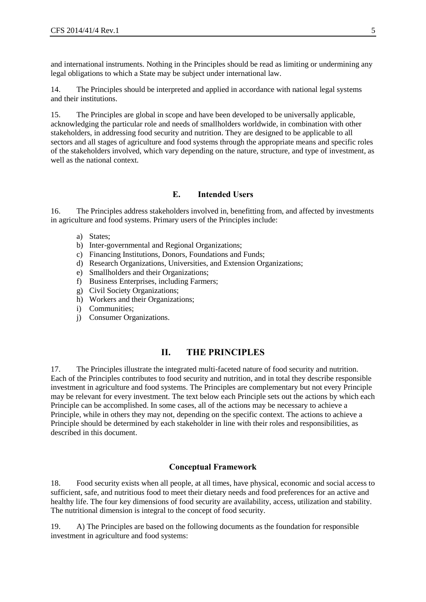and international instruments. Nothing in the Principles should be read as limiting or undermining any legal obligations to which a State may be subject under international law.

14. The Principles should be interpreted and applied in accordance with national legal systems and their institutions.

15. The Principles are global in scope and have been developed to be universally applicable, acknowledging the particular role and needs of smallholders worldwide, in combination with other stakeholders, in addressing food security and nutrition. They are designed to be applicable to all sectors and all stages of agriculture and food systems through the appropriate means and specific roles of the stakeholders involved, which vary depending on the nature, structure, and type of investment, as well as the national context.

#### **E. Intended Users**

<span id="page-4-0"></span>16. The Principles address stakeholders involved in, benefitting from, and affected by investments in agriculture and food systems. Primary users of the Principles include:

- a) States;
- b) Inter-governmental and Regional Organizations;
- c) Financing Institutions, Donors, Foundations and Funds;
- d) Research Organizations, Universities, and Extension Organizations;
- e) Smallholders and their Organizations;
- f) Business Enterprises, including Farmers;
- g) Civil Society Organizations;
- h) Workers and their Organizations;
- i) Communities;
- j) Consumer Organizations.

# **II. THE PRINCIPLES**

<span id="page-4-1"></span>17. The Principles illustrate the integrated multi-faceted nature of food security and nutrition. Each of the Principles contributes to food security and nutrition, and in total they describe responsible investment in agriculture and food systems. The Principles are complementary but not every Principle may be relevant for every investment. The text below each Principle sets out the actions by which each Principle can be accomplished. In some cases, all of the actions may be necessary to achieve a Principle, while in others they may not, depending on the specific context. The actions to achieve a Principle should be determined by each stakeholder in line with their roles and responsibilities, as described in this document.

#### **Conceptual Framework**

<span id="page-4-2"></span>18. Food security exists when all people, at all times, have physical, economic and social access to sufficient, safe, and nutritious food to meet their dietary needs and food preferences for an active and healthy life. The four key dimensions of food security are availability, access, utilization and stability. The nutritional dimension is integral to the concept of food security.

19. A) The Principles are based on the following documents as the foundation for responsible investment in agriculture and food systems: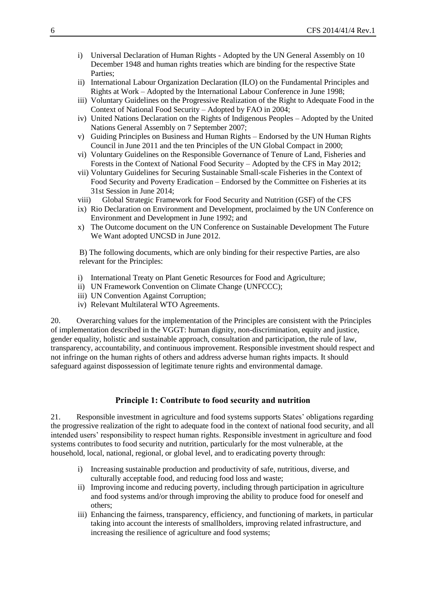- i) Universal Declaration of Human Rights Adopted by the UN General Assembly on 10 December 1948 and human rights treaties which are binding for the respective State Parties;
- ii) International Labour Organization Declaration (ILO) on the Fundamental Principles and Rights at Work – Adopted by the International Labour Conference in June 1998;
- iii) Voluntary Guidelines on the Progressive Realization of the Right to Adequate Food in the Context of National Food Security – Adopted by FAO in 2004;
- iv) United Nations Declaration on the Rights of Indigenous Peoples Adopted by the United Nations General Assembly on 7 September 2007;
- v) Guiding Principles on Business and Human Rights Endorsed by the UN Human Rights Council in June 2011 and the ten Principles of the UN Global Compact in 2000;
- vi) Voluntary Guidelines on the Responsible Governance of Tenure of Land, Fisheries and Forests in the Context of National Food Security – Adopted by the CFS in May 2012;
- vii) Voluntary Guidelines for Securing Sustainable Small-scale Fisheries in the Context of Food Security and Poverty Eradication – Endorsed by the Committee on Fisheries at its 31st Session in June 2014;
- viii) Global Strategic Framework for Food Security and Nutrition (GSF) of the CFS
- ix) Rio Declaration on Environment and Development, proclaimed by the UN Conference on Environment and Development in June 1992; and
- x) The Outcome document on the UN Conference on Sustainable Development The Future We Want adopted UNCSD in June 2012.

B) The following documents, which are only binding for their respective Parties, are also relevant for the Principles:

- i) International Treaty on Plant Genetic Resources for Food and Agriculture;
- ii) UN Framework Convention on Climate Change (UNFCCC);
- iii) UN Convention Against Corruption;
- iv) Relevant Multilateral WTO Agreements.

20. Overarching values for the implementation of the Principles are consistent with the Principles of implementation described in the VGGT: human dignity, non-discrimination, equity and justice, gender equality, holistic and sustainable approach, consultation and participation, the rule of law, transparency, accountability, and continuous improvement. Responsible investment should respect and not infringe on the human rights of others and address adverse human rights impacts. It should safeguard against dispossession of legitimate tenure rights and environmental damage.

#### **Principle 1: Contribute to food security and nutrition**

<span id="page-5-0"></span>21. Responsible investment in agriculture and food systems supports States' obligations regarding the progressive realization of the right to adequate food in the context of national food security, and all intended users' responsibility to respect human rights. Responsible investment in agriculture and food systems contributes to food security and nutrition, particularly for the most vulnerable, at the household, local, national, regional, or global level, and to eradicating poverty through:

- i) Increasing sustainable production and productivity of safe, nutritious, diverse, and culturally acceptable food, and reducing food loss and waste;
- ii) Improving income and reducing poverty, including through participation in agriculture and food systems and/or through improving the ability to produce food for oneself and others;
- iii) Enhancing the fairness, transparency, efficiency, and functioning of markets, in particular taking into account the interests of smallholders, improving related infrastructure, and increasing the resilience of agriculture and food systems;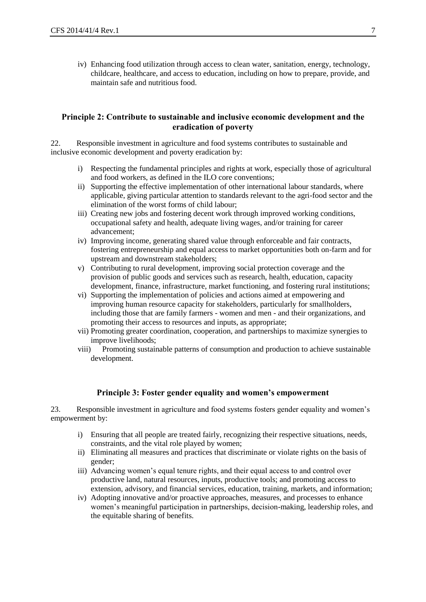iv) Enhancing food utilization through access to clean water, sanitation, energy, technology, childcare, healthcare, and access to education, including on how to prepare, provide, and maintain safe and nutritious food.

## <span id="page-6-0"></span>**Principle 2: Contribute to sustainable and inclusive economic development and the eradication of poverty**

22. Responsible investment in agriculture and food systems contributes to sustainable and inclusive economic development and poverty eradication by:

- i) Respecting the fundamental principles and rights at work, especially those of agricultural and food workers, as defined in the ILO core conventions;
- ii) Supporting the effective implementation of other international labour standards, where applicable, giving particular attention to standards relevant to the agri-food sector and the elimination of the worst forms of child labour;
- iii) Creating new jobs and fostering decent work through improved working conditions, occupational safety and health, adequate living wages, and/or training for career advancement;
- iv) Improving income, generating shared value through enforceable and fair contracts, fostering entrepreneurship and equal access to market opportunities both on-farm and for upstream and downstream stakeholders;
- v) Contributing to rural development, improving social protection coverage and the provision of public goods and services such as research, health, education, capacity development, finance, infrastructure, market functioning, and fostering rural institutions;
- vi) Supporting the implementation of policies and actions aimed at empowering and improving human resource capacity for stakeholders, particularly for smallholders, including those that are family farmers - women and men - and their organizations, and promoting their access to resources and inputs, as appropriate;
- vii) Promoting greater coordination, cooperation, and partnerships to maximize synergies to improve livelihoods;
- viii) Promoting sustainable patterns of consumption and production to achieve sustainable development.

# **Principle 3: Foster gender equality and women's empowerment**

<span id="page-6-1"></span>23. Responsible investment in agriculture and food systems fosters gender equality and women's empowerment by:

- i) Ensuring that all people are treated fairly, recognizing their respective situations, needs, constraints, and the vital role played by women;
- ii) Eliminating all measures and practices that discriminate or violate rights on the basis of gender;
- iii) Advancing women's equal tenure rights, and their equal access to and control over productive land, natural resources, inputs, productive tools; and promoting access to extension, advisory, and financial services, education, training, markets, and information;
- iv) Adopting innovative and/or proactive approaches, measures, and processes to enhance women's meaningful participation in partnerships, decision-making, leadership roles, and the equitable sharing of benefits.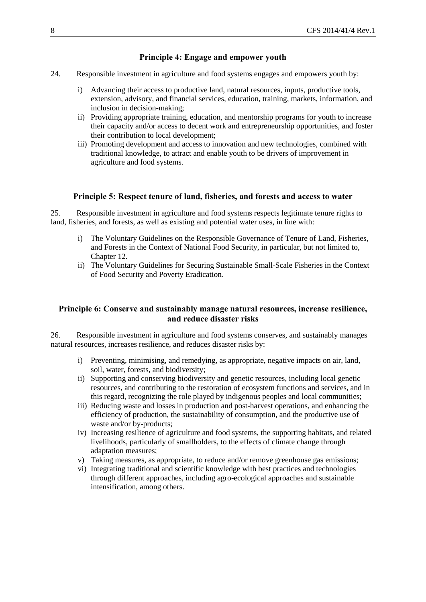# **Principle 4: Engage and empower youth**

- <span id="page-7-0"></span>24. Responsible investment in agriculture and food systems engages and empowers youth by:
	- i) Advancing their access to productive land, natural resources, inputs, productive tools, extension, advisory, and financial services, education, training, markets, information, and inclusion in decision-making;
	- ii) Providing appropriate training, education, and mentorship programs for youth to increase their capacity and/or access to decent work and entrepreneurship opportunities, and foster their contribution to local development;
	- iii) Promoting development and access to innovation and new technologies, combined with traditional knowledge, to attract and enable youth to be drivers of improvement in agriculture and food systems.

#### **Principle 5: Respect tenure of land, fisheries, and forests and access to water**

<span id="page-7-1"></span>25. Responsible investment in agriculture and food systems respects legitimate tenure rights to land, fisheries, and forests, as well as existing and potential water uses, in line with:

- i) The Voluntary Guidelines on the Responsible Governance of Tenure of Land, Fisheries, and Forests in the Context of National Food Security, in particular, but not limited to, Chapter 12.
- ii) The Voluntary Guidelines for Securing Sustainable Small-Scale Fisheries in the Context of Food Security and Poverty Eradication.

## <span id="page-7-2"></span>**Principle 6: Conserve and sustainably manage natural resources, increase resilience, and reduce disaster risks**

26. Responsible investment in agriculture and food systems conserves, and sustainably manages natural resources, increases resilience, and reduces disaster risks by:

- i) Preventing, minimising, and remedying, as appropriate, negative impacts on air, land, soil, water, forests, and biodiversity;
- ii) Supporting and conserving biodiversity and genetic resources, including local genetic resources, and contributing to the restoration of ecosystem functions and services, and in this regard, recognizing the role played by indigenous peoples and local communities;
- iii) Reducing waste and losses in production and post-harvest operations, and enhancing the efficiency of production, the sustainability of consumption, and the productive use of waste and/or by-products;
- iv) Increasing resilience of agriculture and food systems, the supporting habitats, and related livelihoods, particularly of smallholders, to the effects of climate change through adaptation measures;
- v) Taking measures, as appropriate, to reduce and/or remove greenhouse gas emissions;
- vi) Integrating traditional and scientific knowledge with best practices and technologies through different approaches, including agro-ecological approaches and sustainable intensification, among others.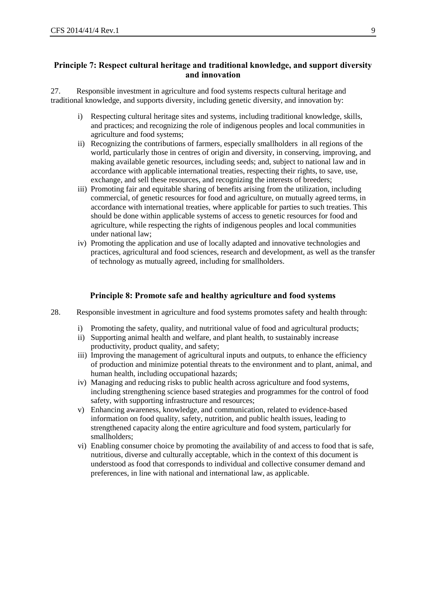## <span id="page-8-0"></span>**Principle 7: Respect cultural heritage and traditional knowledge, and support diversity and innovation**

27. Responsible investment in agriculture and food systems respects cultural heritage and traditional knowledge, and supports diversity, including genetic diversity, and innovation by:

- i) Respecting cultural heritage sites and systems, including traditional knowledge, skills, and practices; and recognizing the role of indigenous peoples and local communities in agriculture and food systems;
- ii) Recognizing the contributions of farmers, especially smallholders in all regions of the world, particularly those in centres of origin and diversity, in conserving, improving, and making available genetic resources, including seeds; and, subject to national law and in accordance with applicable international treaties, respecting their rights, to save, use, exchange, and sell these resources, and recognizing the interests of breeders;
- iii) Promoting fair and equitable sharing of benefits arising from the utilization, including commercial, of genetic resources for food and agriculture, on mutually agreed terms, in accordance with international treaties, where applicable for parties to such treaties. This should be done within applicable systems of access to genetic resources for food and agriculture, while respecting the rights of indigenous peoples and local communities under national law;
- iv) Promoting the application and use of locally adapted and innovative technologies and practices, agricultural and food sciences, research and development, as well as the transfer of technology as mutually agreed, including for smallholders.

#### **Principle 8: Promote safe and healthy agriculture and food systems**

- <span id="page-8-1"></span>28. Responsible investment in agriculture and food systems promotes safety and health through:
	- i) Promoting the safety, quality, and nutritional value of food and agricultural products;
	- ii) Supporting animal health and welfare, and plant health, to sustainably increase productivity, product quality, and safety;
	- iii) Improving the management of agricultural inputs and outputs, to enhance the efficiency of production and minimize potential threats to the environment and to plant, animal, and human health, including occupational hazards;
	- iv) Managing and reducing risks to public health across agriculture and food systems, including strengthening science based strategies and programmes for the control of food safety, with supporting infrastructure and resources;
	- v) Enhancing awareness, knowledge, and communication, related to evidence-based information on food quality, safety, nutrition, and public health issues, leading to strengthened capacity along the entire agriculture and food system, particularly for smallholders;
	- vi) Enabling consumer choice by promoting the availability of and access to food that is safe, nutritious, diverse and culturally acceptable, which in the context of this document is understood as food that corresponds to individual and collective consumer demand and preferences, in line with national and international law, as applicable.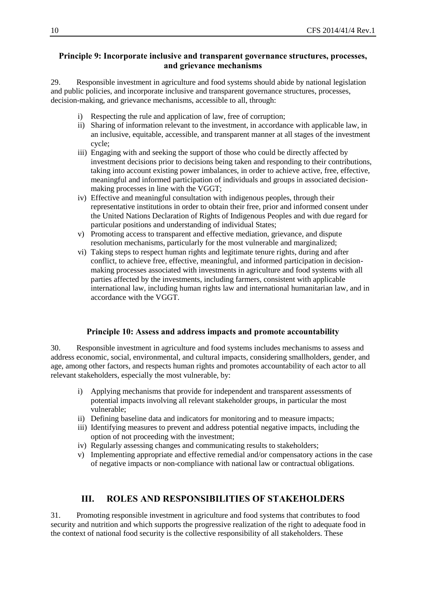# <span id="page-9-0"></span>**Principle 9: Incorporate inclusive and transparent governance structures, processes, and grievance mechanisms**

29. Responsible investment in agriculture and food systems should abide by national legislation and public policies, and incorporate inclusive and transparent governance structures, processes, decision-making, and grievance mechanisms, accessible to all, through:

- i) Respecting the rule and application of law, free of corruption;
- ii) Sharing of information relevant to the investment, in accordance with applicable law, in an inclusive, equitable, accessible, and transparent manner at all stages of the investment cycle;
- iii) Engaging with and seeking the support of those who could be directly affected by investment decisions prior to decisions being taken and responding to their contributions, taking into account existing power imbalances, in order to achieve active, free, effective, meaningful and informed participation of individuals and groups in associated decisionmaking processes in line with the VGGT;
- iv) Effective and meaningful consultation with indigenous peoples, through their representative institutions in order to obtain their free, prior and informed consent under the United Nations Declaration of Rights of Indigenous Peoples and with due regard for particular positions and understanding of individual States;
- v) Promoting access to transparent and effective mediation, grievance, and dispute resolution mechanisms, particularly for the most vulnerable and marginalized;
- vi) Taking steps to respect human rights and legitimate tenure rights, during and after conflict, to achieve free, effective, meaningful, and informed participation in decisionmaking processes associated with investments in agriculture and food systems with all parties affected by the investments, including farmers, consistent with applicable international law, including human rights law and international humanitarian law, and in accordance with the VGGT.

# **Principle 10: Assess and address impacts and promote accountability**

<span id="page-9-1"></span>30. Responsible investment in agriculture and food systems includes mechanisms to assess and address economic, social, environmental, and cultural impacts, considering smallholders, gender, and age, among other factors, and respects human rights and promotes accountability of each actor to all relevant stakeholders, especially the most vulnerable, by:

- i) Applying mechanisms that provide for independent and transparent assessments of potential impacts involving all relevant stakeholder groups, in particular the most vulnerable;
- ii) Defining baseline data and indicators for monitoring and to measure impacts;
- iii) Identifying measures to prevent and address potential negative impacts, including the option of not proceeding with the investment;
- iv) Regularly assessing changes and communicating results to stakeholders;
- v) Implementing appropriate and effective remedial and/or compensatory actions in the case of negative impacts or non-compliance with national law or contractual obligations.

# **III. ROLES AND RESPONSIBILITIES OF STAKEHOLDERS**

<span id="page-9-2"></span>31. Promoting responsible investment in agriculture and food systems that contributes to food security and nutrition and which supports the progressive realization of the right to adequate food in the context of national food security is the collective responsibility of all stakeholders. These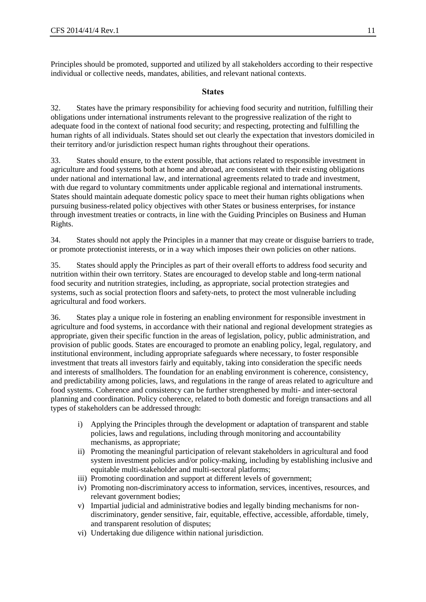Principles should be promoted, supported and utilized by all stakeholders according to their respective individual or collective needs, mandates, abilities, and relevant national contexts.

#### **States**

<span id="page-10-0"></span>32. States have the primary responsibility for achieving food security and nutrition, fulfilling their obligations under international instruments relevant to the progressive realization of the right to adequate food in the context of national food security; and respecting, protecting and fulfilling the human rights of all individuals. States should set out clearly the expectation that investors domiciled in their territory and/or jurisdiction respect human rights throughout their operations.

33. States should ensure, to the extent possible, that actions related to responsible investment in agriculture and food systems both at home and abroad, are consistent with their existing obligations under national and international law, and international agreements related to trade and investment, with due regard to voluntary commitments under applicable regional and international instruments. States should maintain adequate domestic policy space to meet their human rights obligations when pursuing business-related policy objectives with other States or business enterprises, for instance through investment treaties or contracts, in line with the Guiding Principles on Business and Human Rights.

34. States should not apply the Principles in a manner that may create or disguise barriers to trade, or promote protectionist interests, or in a way which imposes their own policies on other nations.

35. States should apply the Principles as part of their overall efforts to address food security and nutrition within their own territory. States are encouraged to develop stable and long-term national food security and nutrition strategies, including, as appropriate, social protection strategies and systems, such as social protection floors and safety-nets, to protect the most vulnerable including agricultural and food workers.

36. States play a unique role in fostering an enabling environment for responsible investment in agriculture and food systems, in accordance with their national and regional development strategies as appropriate, given their specific function in the areas of legislation, policy, public administration, and provision of public goods. States are encouraged to promote an enabling policy, legal, regulatory, and institutional environment, including appropriate safeguards where necessary, to foster responsible investment that treats all investors fairly and equitably, taking into consideration the specific needs and interests of smallholders. The foundation for an enabling environment is coherence, consistency, and predictability among policies, laws, and regulations in the range of areas related to agriculture and food systems. Coherence and consistency can be further strengthened by multi- and inter-sectoral planning and coordination. Policy coherence, related to both domestic and foreign transactions and all types of stakeholders can be addressed through:

- i) Applying the Principles through the development or adaptation of transparent and stable policies, laws and regulations, including through monitoring and accountability mechanisms, as appropriate;
- ii) Promoting the meaningful participation of relevant stakeholders in agricultural and food system investment policies and/or policy-making, including by establishing inclusive and equitable multi-stakeholder and multi-sectoral platforms;
- iii) Promoting coordination and support at different levels of government;
- iv) Promoting non-discriminatory access to information, services, incentives, resources, and relevant government bodies;
- v) Impartial judicial and administrative bodies and legally binding mechanisms for nondiscriminatory, gender sensitive, fair, equitable, effective, accessible, affordable, timely, and transparent resolution of disputes;
- vi) Undertaking due diligence within national jurisdiction.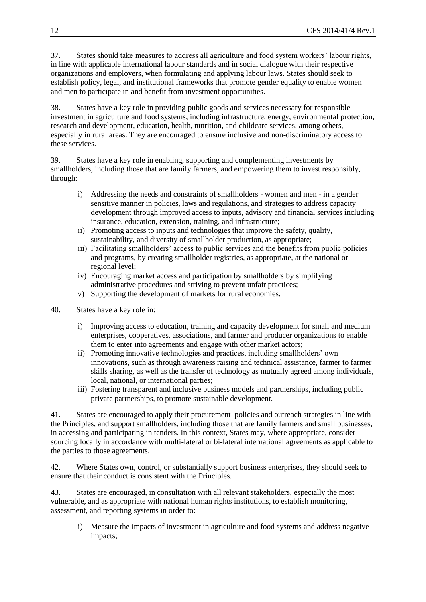37. States should take measures to address all agriculture and food system workers' labour rights, in line with applicable international labour standards and in social dialogue with their respective organizations and employers, when formulating and applying labour laws. States should seek to establish policy, legal, and institutional frameworks that promote gender equality to enable women and men to participate in and benefit from investment opportunities.

38. States have a key role in providing public goods and services necessary for responsible investment in agriculture and food systems, including infrastructure, energy, environmental protection, research and development, education, health, nutrition, and childcare services, among others, especially in rural areas. They are encouraged to ensure inclusive and non-discriminatory access to these services.

39. States have a key role in enabling, supporting and complementing investments by smallholders, including those that are family farmers, and empowering them to invest responsibly, through:

- i) Addressing the needs and constraints of smallholders women and men in a gender sensitive manner in policies, laws and regulations, and strategies to address capacity development through improved access to inputs, advisory and financial services including insurance, education, extension, training, and infrastructure;
- ii) Promoting access to inputs and technologies that improve the safety, quality, sustainability, and diversity of smallholder production, as appropriate;
- iii) Facilitating smallholders' access to public services and the benefits from public policies and programs, by creating smallholder registries, as appropriate, at the national or regional level;
- iv) Encouraging market access and participation by smallholders by simplifying administrative procedures and striving to prevent unfair practices;
- v) Supporting the development of markets for rural economies.
- 40. States have a key role in:
	- i) Improving access to education, training and capacity development for small and medium enterprises, cooperatives, associations, and farmer and producer organizations to enable them to enter into agreements and engage with other market actors;
	- ii) Promoting innovative technologies and practices, including smallholders' own innovations, such as through awareness raising and technical assistance, farmer to farmer skills sharing, as well as the transfer of technology as mutually agreed among individuals, local, national, or international parties;
	- iii) Fostering transparent and inclusive business models and partnerships, including public private partnerships, to promote sustainable development.

41. States are encouraged to apply their procurement policies and outreach strategies in line with the Principles, and support smallholders, including those that are family farmers and small businesses, in accessing and participating in tenders. In this context, States may, where appropriate, consider sourcing locally in accordance with multi-lateral or bi-lateral international agreements as applicable to the parties to those agreements.

42. Where States own, control, or substantially support business enterprises, they should seek to ensure that their conduct is consistent with the Principles.

43. States are encouraged, in consultation with all relevant stakeholders, especially the most vulnerable, and as appropriate with national human rights institutions, to establish monitoring, assessment, and reporting systems in order to:

i) Measure the impacts of investment in agriculture and food systems and address negative impacts;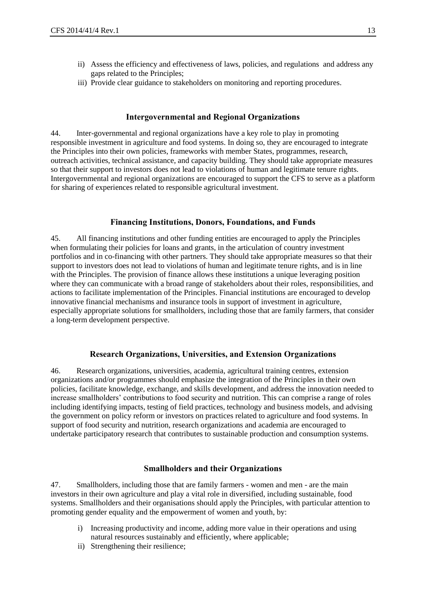- ii) Assess the efficiency and effectiveness of laws, policies, and regulations and address any gaps related to the Principles;
- iii) Provide clear guidance to stakeholders on monitoring and reporting procedures.

#### **Intergovernmental and Regional Organizations**

<span id="page-12-0"></span>44. Inter-governmental and regional organizations have a key role to play in promoting responsible investment in agriculture and food systems. In doing so, they are encouraged to integrate the Principles into their own policies, frameworks with member States, programmes, research, outreach activities, technical assistance, and capacity building. They should take appropriate measures so that their support to investors does not lead to violations of human and legitimate tenure rights. Intergovernmental and regional organizations are encouraged to support the CFS to serve as a platform for sharing of experiences related to responsible agricultural investment.

# **Financing Institutions, Donors, Foundations, and Funds**

<span id="page-12-1"></span>45. All financing institutions and other funding entities are encouraged to apply the Principles when formulating their policies for loans and grants, in the articulation of country investment portfolios and in co-financing with other partners. They should take appropriate measures so that their support to investors does not lead to violations of human and legitimate tenure rights, and is in line with the Principles. The provision of finance allows these institutions a unique leveraging position where they can communicate with a broad range of stakeholders about their roles, responsibilities, and actions to facilitate implementation of the Principles. Financial institutions are encouraged to develop innovative financial mechanisms and insurance tools in support of investment in agriculture, especially appropriate solutions for smallholders, including those that are family farmers, that consider a long-term development perspective.

#### **Research Organizations, Universities, and Extension Organizations**

<span id="page-12-2"></span>46. Research organizations, universities, academia, agricultural training centres, extension organizations and/or programmes should emphasize the integration of the Principles in their own policies, facilitate knowledge, exchange, and skills development, and address the innovation needed to increase smallholders' contributions to food security and nutrition. This can comprise a range of roles including identifying impacts, testing of field practices, technology and business models, and advising the government on policy reform or investors on practices related to agriculture and food systems. In support of food security and nutrition, research organizations and academia are encouraged to undertake participatory research that contributes to sustainable production and consumption systems.

#### **Smallholders and their Organizations**

<span id="page-12-3"></span>47. Smallholders, including those that are family farmers - women and men - are the main investors in their own agriculture and play a vital role in diversified, including sustainable, food systems. Smallholders and their organisations should apply the Principles, with particular attention to promoting gender equality and the empowerment of women and youth, by:

- i) Increasing productivity and income, adding more value in their operations and using natural resources sustainably and efficiently, where applicable;
- ii) Strengthening their resilience;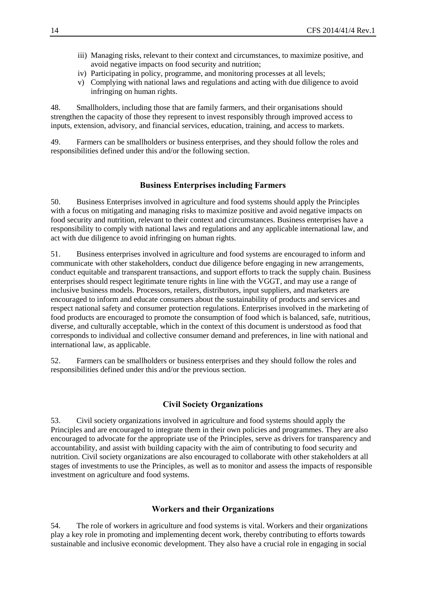- iii) Managing risks, relevant to their context and circumstances, to maximize positive, and avoid negative impacts on food security and nutrition;
- iv) Participating in policy, programme, and monitoring processes at all levels;
- v) Complying with national laws and regulations and acting with due diligence to avoid infringing on human rights.

48. Smallholders, including those that are family farmers, and their organisations should strengthen the capacity of those they represent to invest responsibly through improved access to inputs, extension, advisory, and financial services, education, training, and access to markets.

49. Farmers can be smallholders or business enterprises, and they should follow the roles and responsibilities defined under this and/or the following section.

#### **Business Enterprises including Farmers**

<span id="page-13-0"></span>50. Business Enterprises involved in agriculture and food systems should apply the Principles with a focus on mitigating and managing risks to maximize positive and avoid negative impacts on food security and nutrition, relevant to their context and circumstances. Business enterprises have a responsibility to comply with national laws and regulations and any applicable international law, and act with due diligence to avoid infringing on human rights.

51. Business enterprises involved in agriculture and food systems are encouraged to inform and communicate with other stakeholders, conduct due diligence before engaging in new arrangements, conduct equitable and transparent transactions, and support efforts to track the supply chain. Business enterprises should respect legitimate tenure rights in line with the VGGT, and may use a range of inclusive business models. Processors, retailers, distributors, input suppliers, and marketers are encouraged to inform and educate consumers about the sustainability of products and services and respect national safety and consumer protection regulations. Enterprises involved in the marketing of food products are encouraged to promote the consumption of food which is balanced, safe, nutritious, diverse, and culturally acceptable, which in the context of this document is understood as food that corresponds to individual and collective consumer demand and preferences, in line with national and international law, as applicable.

52. Farmers can be smallholders or business enterprises and they should follow the roles and responsibilities defined under this and/or the previous section.

#### **Civil Society Organizations**

<span id="page-13-1"></span>53. Civil society organizations involved in agriculture and food systems should apply the Principles and are encouraged to integrate them in their own policies and programmes. They are also encouraged to advocate for the appropriate use of the Principles, serve as drivers for transparency and accountability, and assist with building capacity with the aim of contributing to food security and nutrition. Civil society organizations are also encouraged to collaborate with other stakeholders at all stages of investments to use the Principles, as well as to monitor and assess the impacts of responsible investment on agriculture and food systems.

#### **Workers and their Organizations**

<span id="page-13-2"></span>54. The role of workers in agriculture and food systems is vital. Workers and their organizations play a key role in promoting and implementing decent work, thereby contributing to efforts towards sustainable and inclusive economic development. They also have a crucial role in engaging in social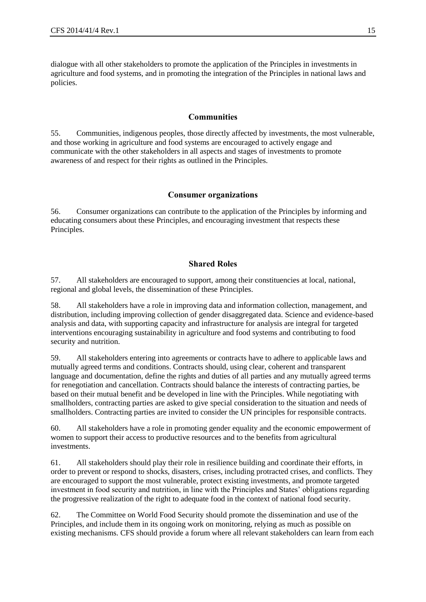dialogue with all other stakeholders to promote the application of the Principles in investments in agriculture and food systems, and in promoting the integration of the Principles in national laws and policies.

# **Communities**

<span id="page-14-0"></span>55. Communities, indigenous peoples, those directly affected by investments, the most vulnerable, and those working in agriculture and food systems are encouraged to actively engage and communicate with the other stakeholders in all aspects and stages of investments to promote awareness of and respect for their rights as outlined in the Principles.

#### **Consumer organizations**

<span id="page-14-1"></span>56. Consumer organizations can contribute to the application of the Principles by informing and educating consumers about these Principles, and encouraging investment that respects these Principles.

# **Shared Roles**

<span id="page-14-2"></span>57. All stakeholders are encouraged to support, among their constituencies at local, national, regional and global levels, the dissemination of these Principles.

58. All stakeholders have a role in improving data and information collection, management, and distribution, including improving collection of gender disaggregated data. Science and evidence-based analysis and data, with supporting capacity and infrastructure for analysis are integral for targeted interventions encouraging sustainability in agriculture and food systems and contributing to food security and nutrition.

59. All stakeholders entering into agreements or contracts have to adhere to applicable laws and mutually agreed terms and conditions. Contracts should, using clear, coherent and transparent language and documentation, define the rights and duties of all parties and any mutually agreed terms for renegotiation and cancellation. Contracts should balance the interests of contracting parties, be based on their mutual benefit and be developed in line with the Principles. While negotiating with smallholders, contracting parties are asked to give special consideration to the situation and needs of smallholders. Contracting parties are invited to consider the UN principles for responsible contracts.

60. All stakeholders have a role in promoting gender equality and the economic empowerment of women to support their access to productive resources and to the benefits from agricultural investments.

61. All stakeholders should play their role in resilience building and coordinate their efforts, in order to prevent or respond to shocks, disasters, crises, including protracted crises, and conflicts. They are encouraged to support the most vulnerable, protect existing investments, and promote targeted investment in food security and nutrition, in line with the Principles and States' obligations regarding the progressive realization of the right to adequate food in the context of national food security.

62. The Committee on World Food Security should promote the dissemination and use of the Principles, and include them in its ongoing work on monitoring, relying as much as possible on existing mechanisms. CFS should provide a forum where all relevant stakeholders can learn from each